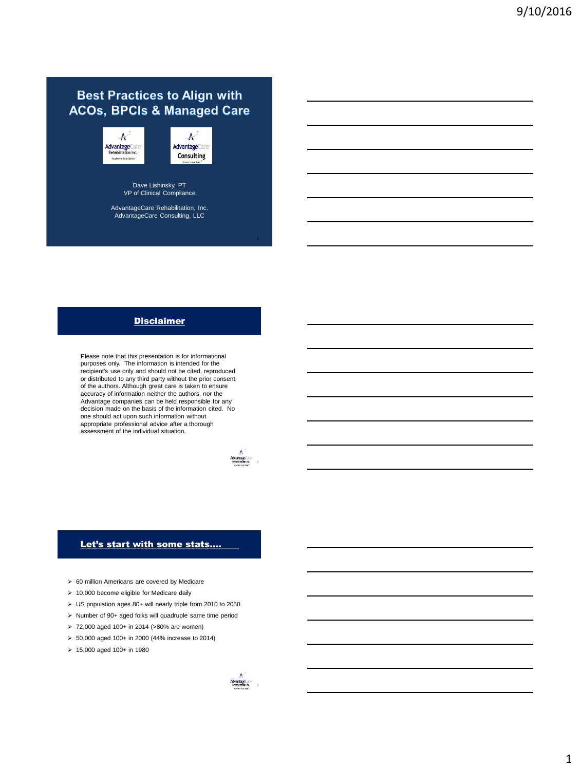# **Best Practices to Align with ACOs, BPCIs & Managed Care**

 $\overline{\mathcal{N}}$ **Advantage**Care<br>Rehabilitation Inc. Itu deserve to get b

 $\boldsymbol{\mathcal{N}}$ **AdvantageCare** Consulting

Dave Lishinsky, PT VP of Clinical Compliance

AdvantageCare Rehabilitation, Inc. AdvantageCare Consulting, LLC

# Disclaimer

Please note that this presentation is for informational purposes only. The information is intended for the recipient's use only and should not be cited, reproduced or distributed to any third party without the prior consent of the authors. Although great care is taken to ensure accuracy of information neither the authors, nor the Advantage companies can be held responsible for any decision made on the basis of the information cited. No one should act upon such information without appropriate professional advice after a thorough assessment of the individual situation.



# Let's start with some stats....

- 60 million Americans are covered by Medicare
- $\geq 10,000$  become eligible for Medicare daily
- US population ages 80+ will nearly triple from 2010 to 2050
- $\triangleright$  Number of 90+ aged folks will quadruple same time period
- 72,000 aged 100+ in 2014 (>80% are women)
- 50,000 aged 100+ in 2000 (44% increase to 2014)
- $\geq 15,000$  aged 100+ in 1980

 $A^3$ <br>AdvantageCare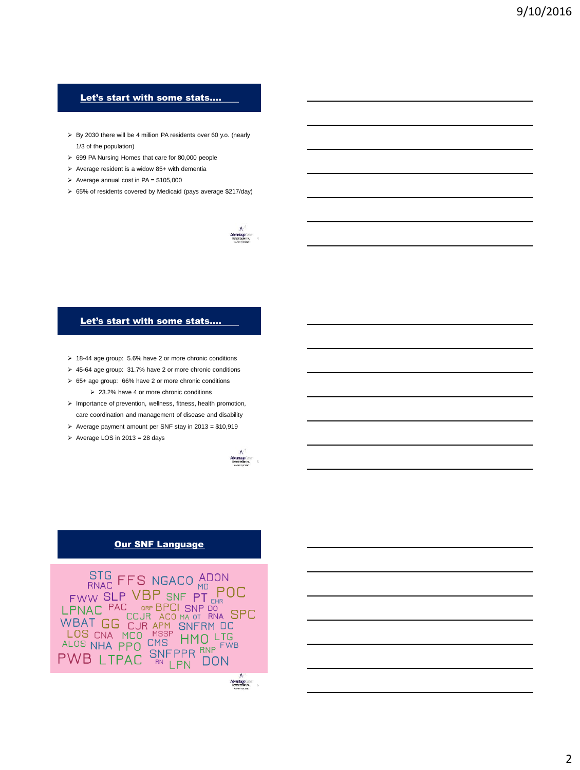# Let's start with some stats….

- > By 2030 there will be 4 million PA residents over 60 y.o. (nearly 1/3 of the population)
- 699 PA Nursing Homes that care for 80,000 people
- $\triangleright$  Average resident is a widow 85+ with dementia
- $\triangleright$  Average annual cost in PA = \$105,000
- 65% of residents covered by Medicaid (pays average \$217/day)



## Let's start with some stats….

- 18-44 age group: 5.6% have 2 or more chronic conditions
- 45-64 age group: 31.7% have 2 or more chronic conditions
- 65+ age group: 66% have 2 or more chronic conditions
	- 23.2% have 4 or more chronic conditions
- $\triangleright$  Importance of prevention, wellness, fitness, health promotion, care coordination and management of disease and disability
- $\geq$  Average payment amount per SNF stay in 2013 = \$10,919
- $\triangleright$  Average LOS in 2013 = 28 days



# **Our SNF Language**

STG FFS NGACO ADON<br>
FWW SLP VBP SNF PT EHR<br>
LPNAC PAC ORP BPCI SNP DO<br>
LPNAC COJR ACO MA OT RNA SPC<br>
WBAT GG CJR APM SNFRM DC<br>
LOS CNA MCO MSSP HMO LTG<br>
ALOS NHA PPO CMS HMO LTG<br>
PVAR I TRAC SNFPPR RPCM ALOS NHA PPO CMS HIPLO LIVE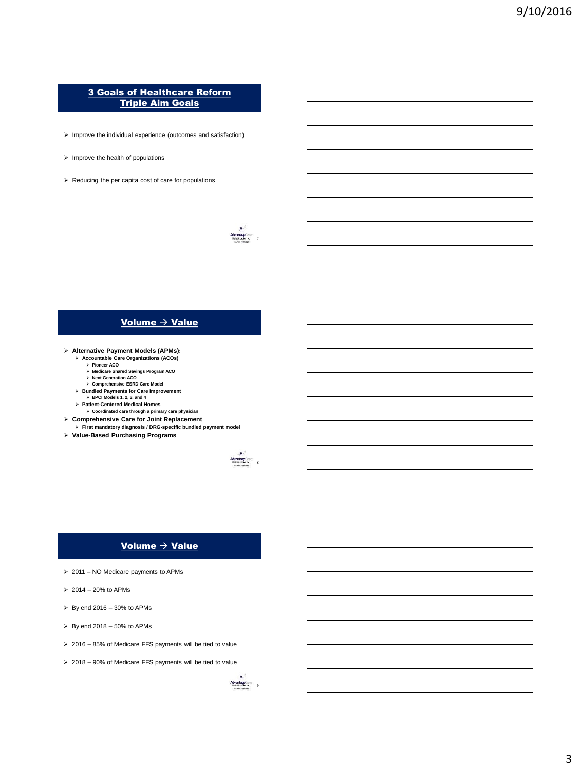# 3 Goals of Healthcare Reform Triple Aim Goals

- $\triangleright$  Improve the individual experience (outcomes and satisfaction)
- $\triangleright$  Improve the health of populations
- $\triangleright$  Reducing the per capita cost of care for populations



# Volume  $\rightarrow$  Value

- **Alternative Payment Models (APMs):**
	-
	- **Accountable Care Organizations (ACOs) Pioneer ACO Medicare Shared Savings Program ACO Next Generation ACO**
		-
	- **Comprehensive ESRD Care Model Bundled Payments for Care Improvement**
	- **BPCI Models 1, 2, 3, and 4**
	-
	- **Patient-Centered Medical Homes Coordinated care through a primary care physician**
- **Comprehensive Care for Joint Replacement First mandatory diagnosis / DRG-specific bundled payment model**
- **Value-Based Purchasing Programs**



# Volume  $\rightarrow$  Value

- $\geq 2011$  NO Medicare payments to APMs
- $\geq 2014 20\%$  to APMs
- $\geq$  By end 2016 30% to APMs
- $\triangleright$  By end 2018 50% to APMs
- $\geq 2016 85\%$  of Medicare FFS payments will be tied to value
- 2018 90% of Medicare FFS payments will be tied to value

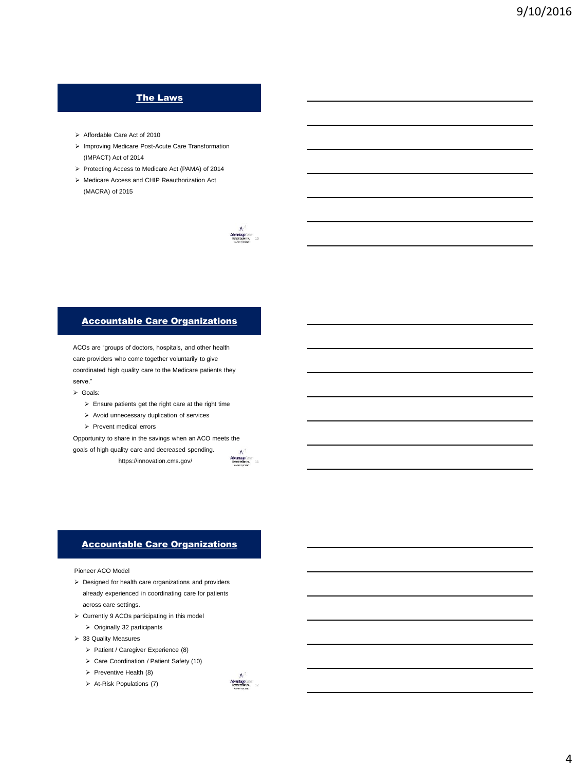# The Laws

- Affordable Care Act of 2010
- > Improving Medicare Post-Acute Care Transformation (IMPACT) Act of 2014
- Protecting Access to Medicare Act (PAMA) of 2014
- Medicare Access and CHIP Reauthorization Act (MACRA) of 2015



# Accountable Care Organizations

ACOs are "groups of doctors, hospitals, and other health care providers who come together voluntarily to give coordinated high quality care to the Medicare patients they serve."

- Goals:
	- $\triangleright$  Ensure patients get the right care at the right time
	- $\triangleright$  Avoid unnecessary duplication of services
	- $\triangleright$  Prevent medical errors

Opportunity to share in the savings when an ACO meets the goals of high quality care and decreased spending.

https://innovation.cms.gov/



# Accountable Care Organizations

Pioneer ACO Model

- Designed for health care organizations and providers already experienced in coordinating care for patients across care settings.
- $\triangleright$  Currently 9 ACOs participating in this model
	- $\triangleright$  Originally 32 participants
- > 33 Quality Measures
	- $\triangleright$  Patient / Caregiver Experience (8)
	- Care Coordination / Patient Safety (10)
	- $\triangleright$  Preventive Health (8)
	- $\triangleright$  At-Risk Populations (7)

A<br>Advantage<br>Astrologies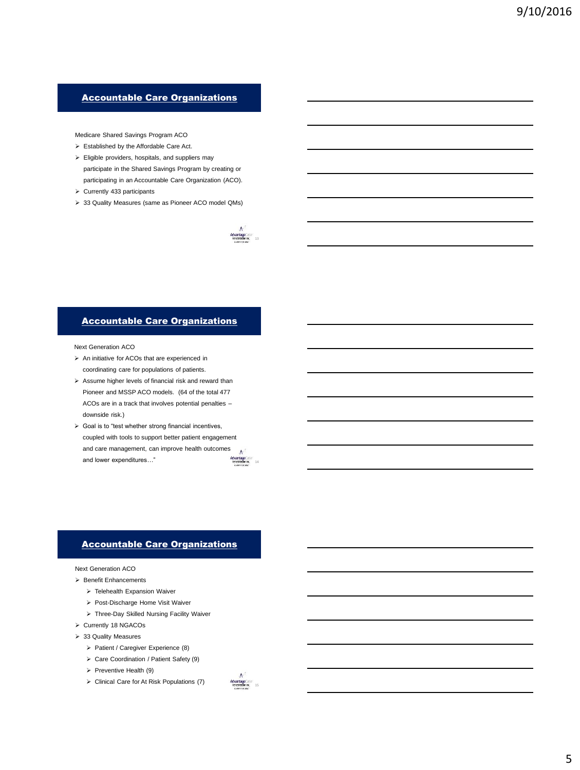# Accountable Care Organizations

Medicare Shared Savings Program ACO

- Established by the Affordable Care Act.
- $\triangleright$  Eligible providers, hospitals, and suppliers may participate in the Shared Savings Program by creating or participating in an Accountable Care Organization (ACO).
- $\geq$  Currently 433 participants
- 33 Quality Measures (same as Pioneer ACO model QMs)



## Accountable Care Organizations

Next Generation ACO

- $\triangleright$  An initiative for ACOs that are experienced in coordinating care for populations of patients.
- $\triangleright$  Assume higher levels of financial risk and reward than Pioneer and MSSP ACO models. (64 of the total 477 ACOs are in a track that involves potential penalties – downside risk.)
- $\triangleright$  Goal is to "test whether strong financial incentives, coupled with tools to support better patient engagement and care management, can improve health outcomes  $\mathbf{A}$ and lower expenditures…" AdvantageCare

# Accountable Care Organizations

## Next Generation ACO

- Benefit Enhancements
	- Telehealth Expansion Waiver
	- Post-Discharge Home Visit Waiver
	- Three-Day Skilled Nursing Facility Waiver
- > Currently 18 NGACOs
- > 33 Quality Measures
	- > Patient / Caregiver Experience (8)
	- Care Coordination / Patient Safety (9)
	- $\triangleright$  Preventive Health (9)
	- $\triangleright$  Clinical Care for At Risk Populations (7)

A<br>Advantage<br>Strategin by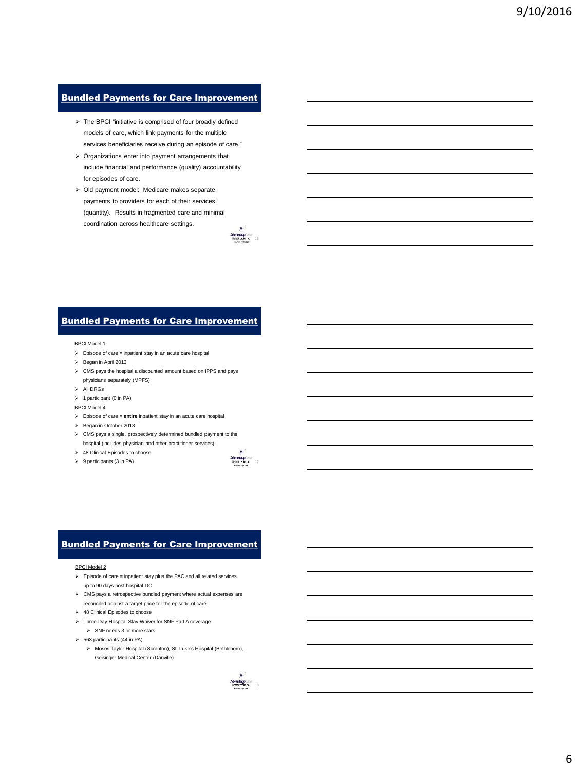# **Bundled Payments for Care Improvement**

- $\triangleright$  The BPCI "initiative is comprised of four broadly defined models of care, which link payments for the multiple services beneficiaries receive during an episode of care."
- $\triangleright$  Organizations enter into payment arrangements that include financial and performance (quality) accountability for episodes of care.
- Old payment model: Medicare makes separate payments to providers for each of their services (quantity). Results in fragmented care and minimal coordination across healthcare settings.



# Bundled Payments for Care Improvement

### BPCI Model 1

- $\triangleright$  Episode of care = inpatient stay in an acute care hospital
- $\triangleright$  Began in April 2013
- CMS pays the hospital a discounted amount based on IPPS and pays physicians separately (MPFS)
- All DRGs
- $\triangleright$  1 participant (0 in PA)

#### BPCI Model 4

- Episode of care = **entire** inpatient stay in an acute care hospital
- Began in October 2013
- CMS pays a single, prospectively determined bundled payment to the hospital (includes physician and other practitioner services)
- > 48 Clinical Episodes to choose
- $\triangleright$  9 participants (3 in PA)



# Bundled Payments for Care Improvement

### BPCI Model 2

- $\triangleright$  Episode of care = inpatient stay plus the PAC and all related services up to 90 days post hospital DC
- $\triangleright$  CMS pays a retrospective bundled payment where actual expenses are reconciled against a target price for the episode of care.
- $\geq$  48 Clinical Episodes to choose
- Three-Day Hospital Stay Waiver for SNF Part A coverage
	- $\triangleright$  SNF needs 3 or more stars
- $\geq$  563 participants (44 in PA)
	- Moses Taylor Hospital (Scranton), St. Luke's Hospital (Bethlehem), Geisinger Medical Center (Danville)

A<br>Advantage<br>Britishmire 18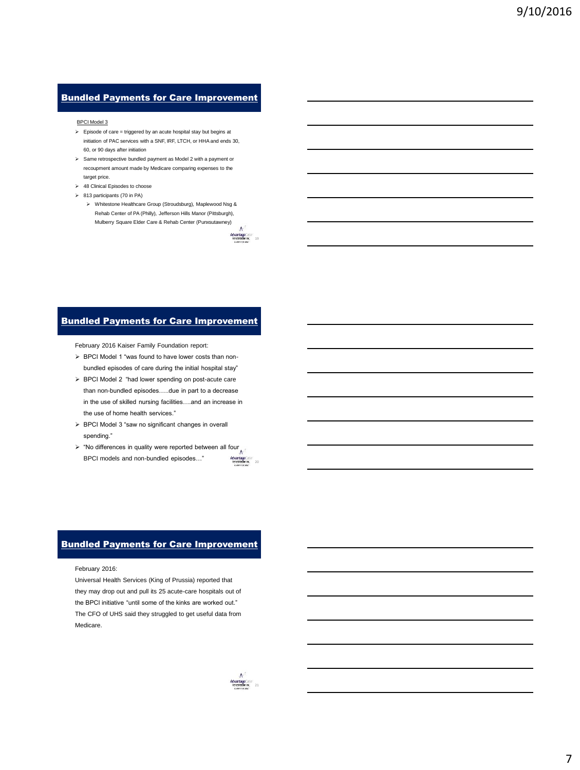# Bundled Payments for Care Improvement

#### BPCI Model 3

- $\triangleright$  Episode of care = triggered by an acute hospital stay but begins at initiation of PAC services with a SNF, IRF, LTCH, or HHA and ends 30, 60, or 90 days after initiation
- Same retrospective bundled payment as Model 2 with a payment or recoupment amount made by Medicare comparing expenses to the target price.
- > 48 Clinical Episodes to choose
- 813 participants (70 in PA)
	- Whitestone Healthcare Group (Stroudsburg), Maplewood Nsg & Rehab Center of PA (Philly), Jefferson Hills Manor (Pittsburgh), Mulberry Square Elder Care & Rehab Center (Punxsutawney)

AdvantageCare



February 2016 Kaiser Family Foundation report:

- > BPCI Model 1 "was found to have lower costs than nonbundled episodes of care during the initial hospital stay"
- > BPCI Model 2 "had lower spending on post-acute care than non-bundled episodes…..due in part to a decrease in the use of skilled nursing facilities….and an increase in the use of home health services."
- $\triangleright$  BPCI Model 3 "saw no significant changes in overall spending."
- AdvantageCare<br>Referation is: 20  $\triangleright$  "No differences in quality were reported between all four BPCI models and non-bundled episodes…"

# Bundled Payments for Care Improvement

February 2016:

Universal Health Services (King of Prussia) reported that they may drop out and pull its 25 acute-care hospitals out of the BPCI initiative "until some of the kinks are worked out." The CFO of UHS said they struggled to get useful data from Medicare.

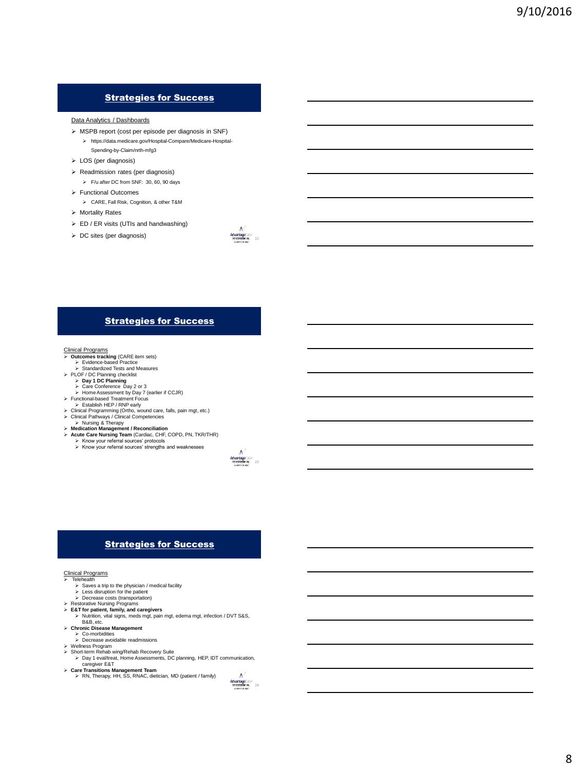# Strategies for Success

#### Data Analytics / Dashboards

- MSPB report (cost per episode per diagnosis in SNF)
	- https://data.medicare.gov/Hospital-Compare/Medicare-Hospital-Spending-by-Claim/nrth-mfg3
- LOS (per diagnosis)
- Readmission rates (per diagnosis)
- F/u after DC from SNF: 30, 60, 90 days Functional Outcomes
	- CARE, Fall Risk, Cognition, & other T&M
- Mortality Rates
- $\triangleright$  ED / ER visits (UTIs and handwashing)
- $\triangleright$  DC sites (per diagnosis)



# Strategies for Success

- Clinical Programs **Outcomes tracking** (CARE item sets) Evidence-based Practice
- Standardized Tests and Measures

- **PLOF / DC Planning checklist**<br> **Day 1 DC Planning > Care Conference Day 2 or 3** 
	- $\ge$  Barc Bonnerence Bay 2 or 3<br> $\ge$  Home Assessment by Day 7 (earlier if CCJR)
- 
- > Functional-based Treatment Focus<br>→ Establish HEP / RNP early<br>> Clinical Programming (Ortho, wound care, falls, pain mgt, etc.)<br>> Clinical Pathways / Clinical Competencies
- 
- **EXURIS & Therapy<br>
<b>Adication Management / Reconciliation**<br> **Acute Care Nursing Team** (Cardiac, CHF, COPD, PN, TKR/THR)<br> **>** Know your referral sources' strengths and weaknesses<br> **>** Know your referral sources' strengths
	-



# Strategies for Success

## Clinical Programs

- Telehealth Saves a trip to the physician / medical facility
	-
- Less disruption for the patient Decrease costs (transportation) Restorative Nursing Programs
	-
- **E&T for patient, family, and caregivers**<br>
→ Mutrition, vital signs, meds mgt, pain mgt, edema mgt, infection / DVT S&S,<br>
B&B, etc.<br> **> Chronic Disease Management**
- 
- Co-morbidities Decrease avoidable readmissions
- 
- Wellness Program Short-term Rehab wing/Rehab Recovery Suite Day 1 eval/treat, Home Assessments, DC planning, HEP, IDT communication,
- caregiver E&T<br>**Care Transitions Management Team**<br>
> RN, Therapy, HH, SS, RNAC, dietician, MD (patient / family)
- 

 $A^2$ <br>Advantage Care<br>Retextibility inc.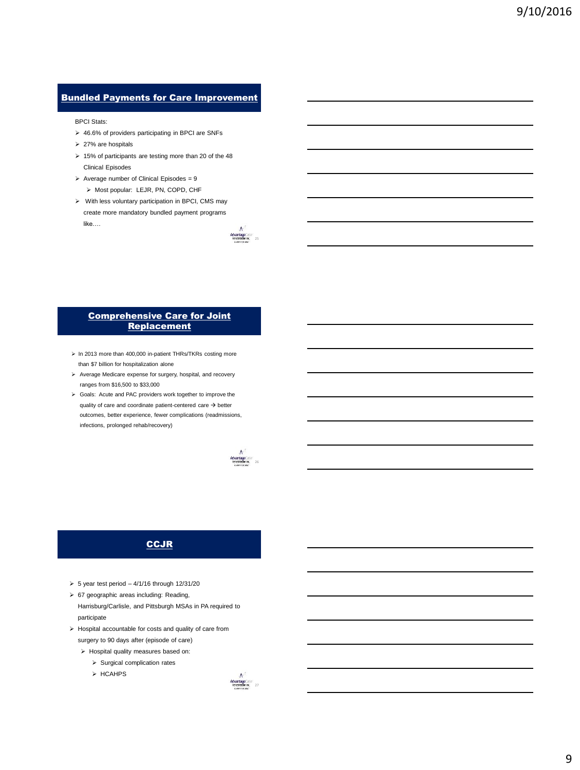# **Bundled Payments for Care Improvement**

BPCI Stats:

- 46.6% of providers participating in BPCI are SNFs
- $\geq 27\%$  are hospitals
- $\triangleright$  15% of participants are testing more than 20 of the 48 Clinical Episodes
- $\triangleright$  Average number of Clinical Episodes = 9 > Most popular: LEJR, PN, COPD, CHF
- $\triangleright$  With less voluntary participation in BPCI, CMS may create more mandatory bundled payment programs like….



## Comprehensive Care for Joint **Replacement**

- > In 2013 more than 400,000 in-patient THRs/TKRs costing more than \$7 billion for hospitalization alone
- Average Medicare expense for surgery, hospital, and recovery ranges from \$16,500 to \$33,000
- Goals: Acute and PAC providers work together to improve the quality of care and coordinate patient-centered care  $\rightarrow$  better outcomes, better experience, fewer complications (readmissions, infections, prolonged rehab/recovery)



# **CCJR**

- $\geq 5$  year test period  $-4/1/16$  through 12/31/20
- 67 geographic areas including: Reading, Harrisburg/Carlisle, and Pittsburgh MSAs in PA required to participate
- $\triangleright$  Hospital accountable for costs and quality of care from surgery to 90 days after (episode of care)
	- $\triangleright$  Hospital quality measures based on:
		- $\triangleright$  Surgical complication rates
		- $\triangleright$  HCAHPS

 $A$ <br>Advantage Care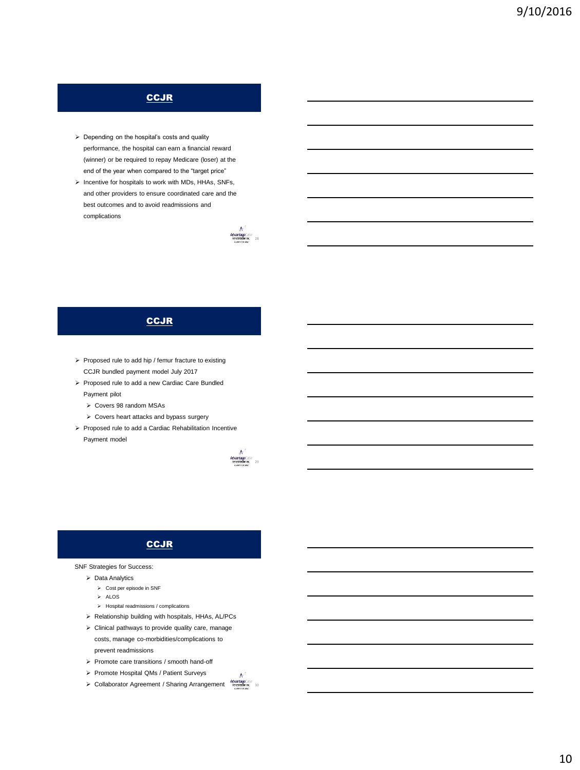# **CCJR**

- > Depending on the hospital's costs and quality performance, the hospital can earn a financial reward (winner) or be required to repay Medicare (loser) at the end of the year when compared to the "target price"
- $\triangleright$  Incentive for hospitals to work with MDs, HHAs, SNFs, and other providers to ensure coordinated care and the best outcomes and to avoid readmissions and complications



# **CCJR**

- $\triangleright$  Proposed rule to add hip / femur fracture to existing CCJR bundled payment model July 2017
- Proposed rule to add a new Cardiac Care Bundled
	- Payment pilot
	- Covers 98 random MSAs
- Covers heart attacks and bypass surgery
- Proposed rule to add a Cardiac Rehabilitation Incentive Payment model



# **CCJR**

## SNF Strategies for Success:

- $\triangleright$  Data Analytics
	- Cost per episode in SNF
	- $\triangleright$  ALOS
	- Hospital readmissions / complications
- $\triangleright$  Relationship building with hospitals, HHAs, AL/PCs
- $\triangleright$  Clinical pathways to provide quality care, manage costs, manage co-morbidities/complications to prevent readmissions
- Promote care transitions / smooth hand-off
- Promote Hospital QMs / Patient Surveys
- AdvantageCare Collaborator Agreement / Sharing Arrangement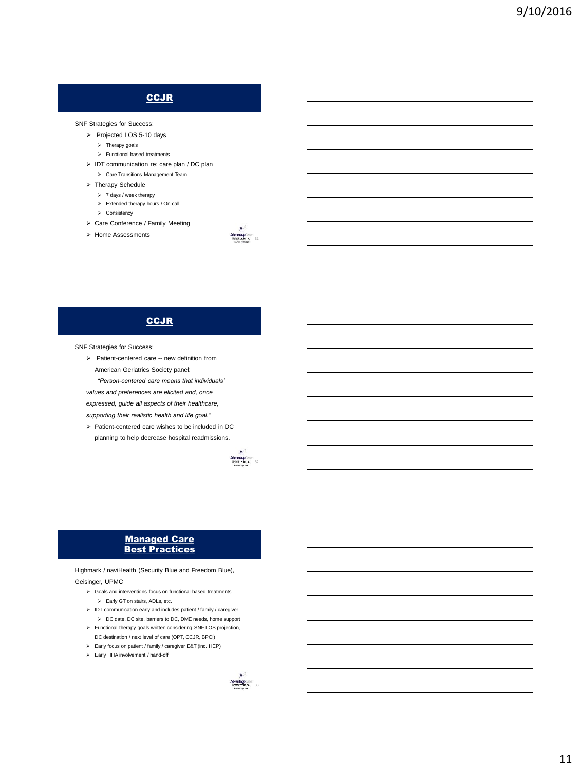# **CCJR**

### SNF Strategies for Success:

- Projected LOS 5-10 days
	- $\triangleright$  Therapy goals
	- Functional-based treatments
- $\triangleright$  IDT communication re: care plan / DC plan Care Transitions Management Team
- > Therapy Schedule
- $> 7$  days / week therapy
	- Extended therapy hours / On-call
	- $\triangleright$  Consistency
- Care Conference / Family Meeting
- > Home Assessments



# **CCJR**

SNF Strategies for Success:

> Patient-centered care -- new definition from American Geriatrics Society panel:

*"Person-centered care means that individuals' values and preferences are elicited and, once expressed, guide all aspects of their healthcare,* 

*supporting their realistic health and life goal."*

 $\triangleright$  Patient-centered care wishes to be included in DC planning to help decrease hospital readmissions.



## Managed Care Best Practices

Highmark / naviHealth (Security Blue and Freedom Blue), Geisinger, UPMC

- Goals and interventions focus on functional-based treatments Early GT on stairs, ADLs, etc.
- $\triangleright$  IDT communication early and includes patient / family / caregiver DC date, DC site, barriers to DC, DME needs, home support
- Functional therapy goals written considering SNF LOS projection, DC destination / next level of care (OPT, CCJR, BPCI)
- Early focus on patient / family / caregiver E&T (inc. HEP)
- Early HHA involvement / hand-off

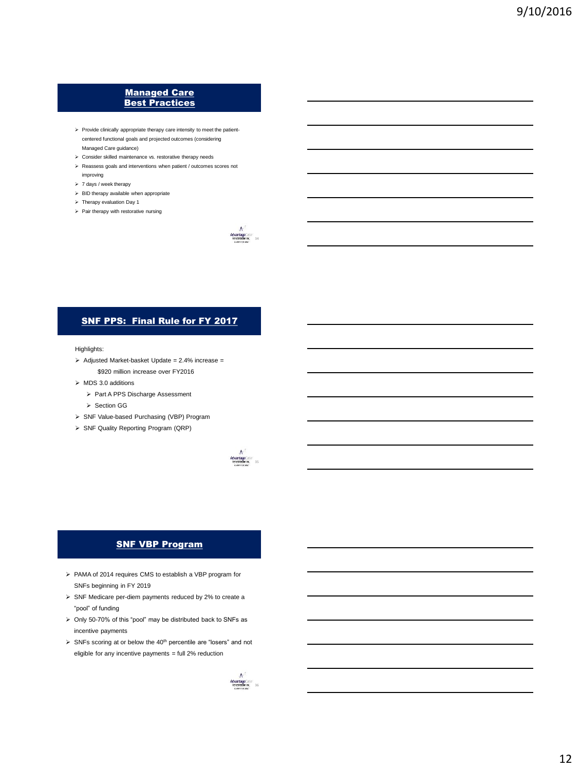# Managed Care **Best Practices**

- $\triangleright$  Provide clinically appropriate therapy care intensity to meet the patientcentered functional goals and projected outcomes (considering Managed Care guidance)
- Consider skilled maintenance vs. restorative therapy needs
- $\triangleright$  Reassess goals and interventions when patient / outcomes scores not
- improving
- > 7 days / week therapy  $\triangleright$  BID therapy available when appropriate
- > Therapy evaluation Day 1
- $\triangleright$  Pair therapy with restorative nursing
	-



## Highlights:

- $\geq$  Adjusted Market-basket Update = 2.4% increase = \$920 million increase over FY2016
- $\triangleright$  MDS 3.0 additions
	- > Part A PPS Discharge Assessment
	- > Section GG
- > SNF Value-based Purchasing (VBP) Program
- > SNF Quality Reporting Program (QRP)



 $A$ <br>Advantage Care<br>Betecknaming 34

# **SNF VBP Program**

- PAMA of 2014 requires CMS to establish a VBP program for SNFs beginning in FY 2019
- > SNF Medicare per-diem payments reduced by 2% to create a "pool" of funding
- $\triangleright$  Only 50-70% of this "pool" may be distributed back to SNFs as incentive payments
- $\triangleright$  SNFs scoring at or below the 40<sup>th</sup> percentile are "losers" and not eligible for any incentive payments = full 2% reduction

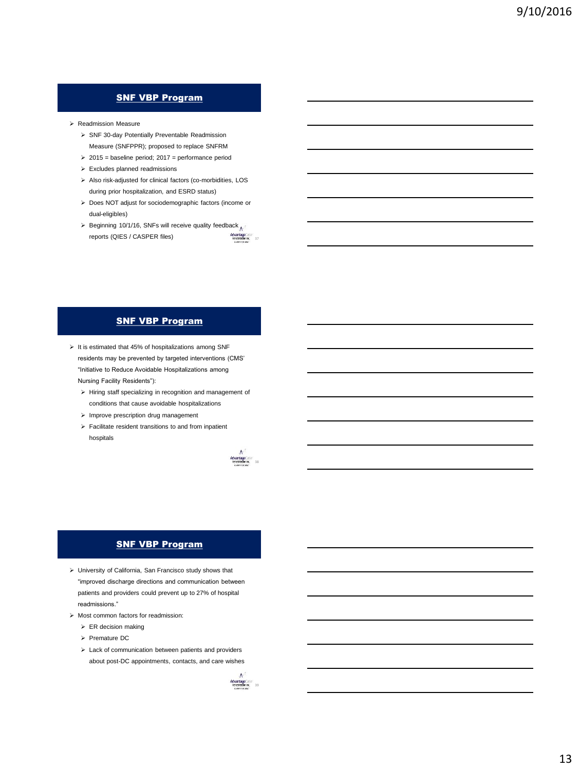# SNF VBP Program

- Readmission Measure
	- SNF 30-day Potentially Preventable Readmission Measure (SNFPPR); proposed to replace SNFRM
	- $\geq 2015$  = baseline period; 2017 = performance period
	- Excludes planned readmissions
	- $\triangleright$  Also risk-adjusted for clinical factors (co-morbidities, LOS during prior hospitalization, and ESRD status)
	- > Does NOT adjust for sociodemographic factors (income or dual-eligibles)
	- AdvantageCare  $\triangleright$  Beginning 10/1/16, SNFs will receive quality feedback reports (QIES / CASPER files)

# **SNF VBP Program**

- $\triangleright$  It is estimated that 45% of hospitalizations among SNF residents may be prevented by targeted interventions (CMS' "Initiative to Reduce Avoidable Hospitalizations among Nursing Facility Residents"):
	- $\triangleright$  Hiring staff specializing in recognition and management of conditions that cause avoidable hospitalizations
	- $\triangleright$  Improve prescription drug management
	- $\triangleright$  Facilitate resident transitions to and from inpatient hospitals



# **SNF VBP Program**

- University of California, San Francisco study shows that "improved discharge directions and communication between patients and providers could prevent up to 27% of hospital readmissions."
- $\triangleright$  Most common factors for readmission:
	- $\triangleright$  ER decision making
	- > Premature DC
	- $\geq$  Lack of communication between patients and providers about post-DC appointments, contacts, and care wishes

 $A$ <br>Advantage  $\sim$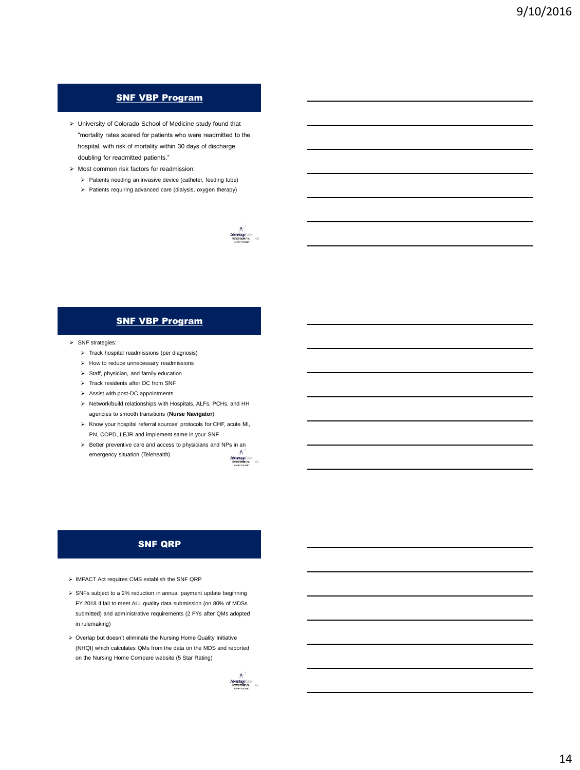# SNF VBP Program

- University of Colorado School of Medicine study found that "mortality rates soared for patients who were readmitted to the hospital, with risk of mortality within 30 days of discharge doubling for readmitted patients."
- Most common risk factors for readmission:
	- $\triangleright$  Patients needing an invasive device (catheter, feeding tube)
	- $\triangleright$  Patients requiring advanced care (dialysis, oxygen therapy)



# SNF VBP Program

## $\triangleright$  SNF strategies:

- $\triangleright$  Track hospital readmissions (per diagnosis)
- $\triangleright$  How to reduce unnecessary readmissions
- $\triangleright$  Staff, physician, and family education
- $\triangleright$  Track residents after DC from SNF
- $\triangleright$  Assist with post-DC appointments
- Network/build relationships with Hospitals, ALFs, PCHs, and HH agencies to smooth transitions (**Nurse Navigator**)
- $\triangleright$  Know your hospital referral sources' protocols for CHF, acute MI, PN, COPD, LEJR and implement same in your SNF
- $\triangleright$  Better preventive care and access to physicians and NPs in an emergency situation (Telehealth)



## SNF QRP

- IMPACT Act requires CMS establish the SNF QRP
- $\triangleright$  SNFs subject to a 2% reduction in annual payment update beginning FY 2018 if fail to meet ALL quality data submission (on 80% of MDSs submitted) and administrative requirements (2 FYs after QMs adopted in rulemaking)
- Overlap but doesn't eliminate the Nursing Home Quality Initiative (NHQI) which calculates QMs from the data on the MDS and reported on the Nursing Home Compare website (5 Star Rating)

 $A$ <br>Advantage Care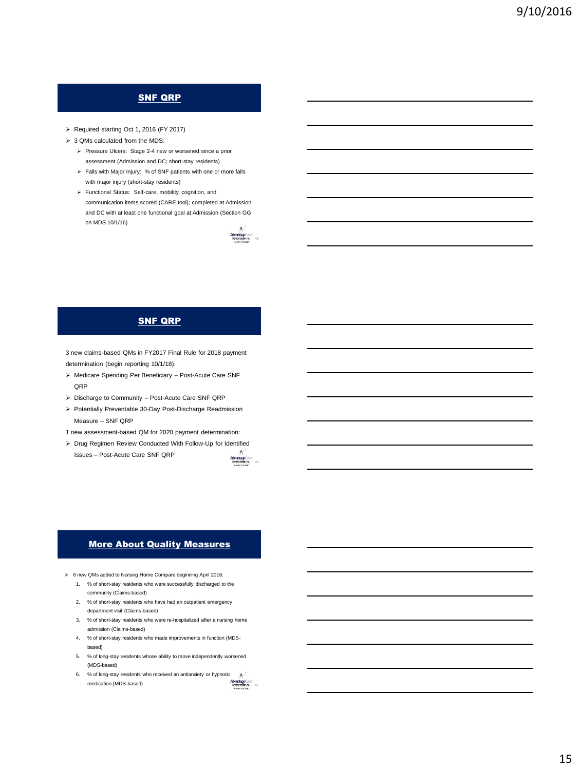# **SNF QRP**

- Required starting Oct 1, 2016 (FY 2017)
- $\geq 3$  QMs calculated from the MDS:
	- Pressure Ulcers: Stage 2-4 new or worsened since a prior assessment (Admission and DC; short-stay residents)
	- Falls with Major Injury: % of SNF patients with one or more falls with major injury (short-stay residents)
	- Functional Status: Self-care, mobility, cognition, and communication items scored (CARE tool); completed at Admission and DC with at least one functional goal at Admission (Section GG on MDS 10/1/16)



# SNF QRP

3 new claims-based QMs in FY2017 Final Rule for 2018 payment determination (begin reporting 10/1/18):

- Medicare Spending Per Beneficiary Post-Acute Care SNF OR<sub>P</sub>
- Discharge to Community Post-Acute Care SNF QRP
- $\triangleright$  Potentially Preventable 30-Day Post-Discharge Readmission Measure – SNF QRP
- 1 new assessment-based QM for 2020 payment determination:
- Drug Regimen Review Conducted With Follow-Up for Identified

Issues – Post-Acute Care SNF QRP



# More About Quality Measures

- 6 new QMs added to Nursing Home Compare beginning April 2016:
	- 1. % of short-stay residents who were successfully discharged to the community (Claims-based)
	- 2. % of short-stay residents who have had an outpatient emergency department visit (Claims-based)
	- 3. % of short-stay residents who were re-hospitalized after a nursing home admission (Claims-based)
	- 4. % of short-stay residents who made improvements in function (MDSbased)
	- 5. % of long-stay residents whose ability to move independently worsened (MDS-based)
	- 6. % of long-stay residents who received an antianxiety or hypnotic  $\boldsymbol{A}$ AdvantageCare<br>Retealitation Inc. 45 medication (MDS-based)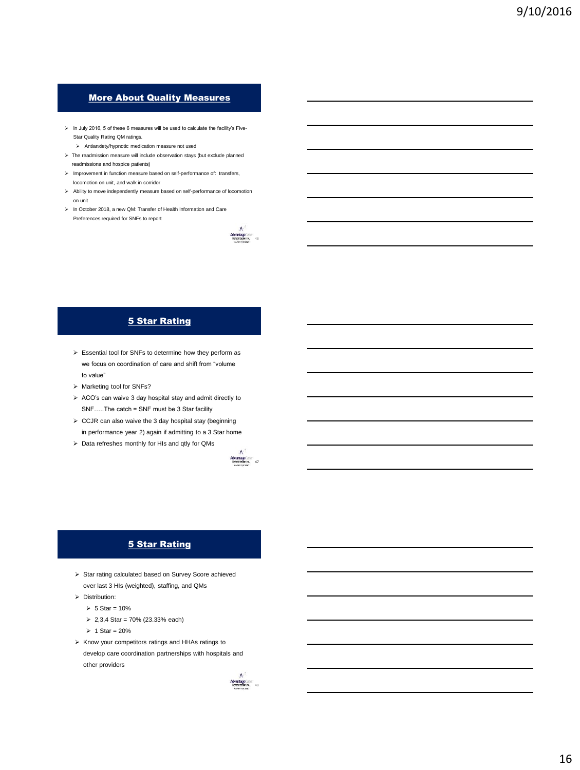# More About Quality Measures

- $\triangleright$  In July 2016, 5 of these 6 measures will be used to calculate the facility's Five-Star Quality Rating QM ratings.
	- Antianxiety/hypnotic medication measure not used
- $\triangleright$  The readmission measure will include observation stays (but exclude planned readmissions and hospice patients)
- $\blacktriangleright$  Improvement in function measure based on self-performance of: transfers, locomotion on unit, and walk in corridor
- Ability to move independently measure based on self-performance of locomotion on unit
- In October 2018, a new QM: Transfer of Health Information and Care Preferences required for SNFs to report



# 5 Star Rating

- $\triangleright$  Essential tool for SNFs to determine how they perform as we focus on coordination of care and shift from "volume to value"
- > Marketing tool for SNFs?
- $\triangleright$  ACO's can waive 3 day hospital stay and admit directly to SNF…..The catch = SNF must be 3 Star facility
- $\triangleright$  CCJR can also waive the 3 day hospital stay (beginning in performance year 2) again if admitting to a 3 Star home
- $\triangleright$  Data refreshes monthly for HIs and qtly for QMs



# 5 Star Rating

- > Star rating calculated based on Survey Score achieved over last 3 HIs (weighted), staffing, and QMs
- > Distribution:
	- $> 5$  Star = 10%
	- $\geq 2.3.4$  Star = 70% (23.33% each)
	- $> 1$  Star = 20%
- $\triangleright$  Know your competitors ratings and HHAs ratings to develop care coordination partnerships with hospitals and other providers

 $A^3$ <br>AdvantageCare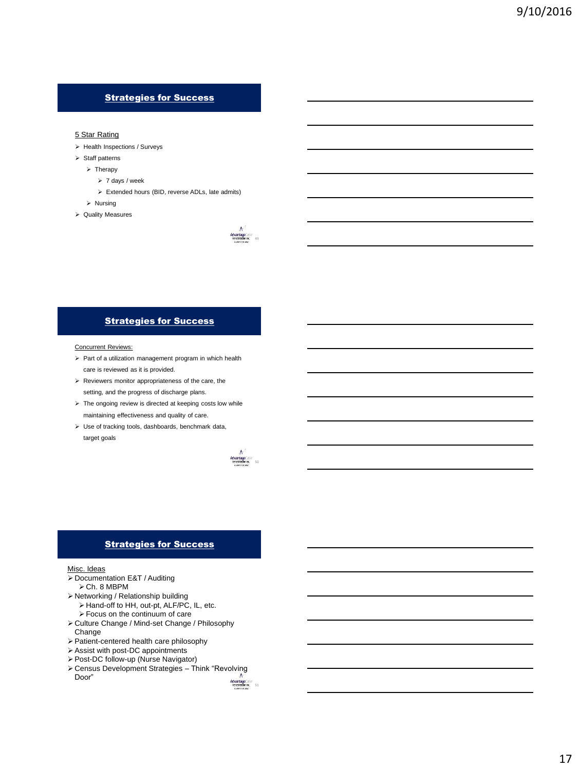# Strategies for Success

## 5 Star Rating

- $\triangleright$  Health Inspections / Surveys
- $\triangleright$  Staff patterns
	- $\triangleright$  Therapy
		- $> 7$  days / week
		- Extended hours (BID, reverse ADLs, late admits)
	- $\triangleright$  Nursing
- Quality Measures



# Strategies for Success

Concurrent Reviews:

- $\triangleright$  Part of a utilization management program in which health care is reviewed as it is provided.
- $\triangleright$  Reviewers monitor appropriateness of the care, the setting, and the progress of discharge plans.
- $\triangleright$  The ongoing review is directed at keeping costs low while maintaining effectiveness and quality of care.
- Use of tracking tools, dashboards, benchmark data, target goals



# Strategies for Success

## Misc. Ideas

- ▶ Documentation E&T / Auditing
- $\triangleright$  Ch. 8 MBPM
- Networking / Relationship building
- Hand-off to HH, out-pt, ALF/PC, IL, etc.
- Focus on the continuum of care
- Culture Change / Mind-set Change / Philosophy Change
- Patient-centered health care philosophy
- Assist with post-DC appointments
- Post-DC follow-up (Nurse Navigator)
- AdvantageCare<br>setembanik, 51 Census Development Strategies – Think "Revolving Door"